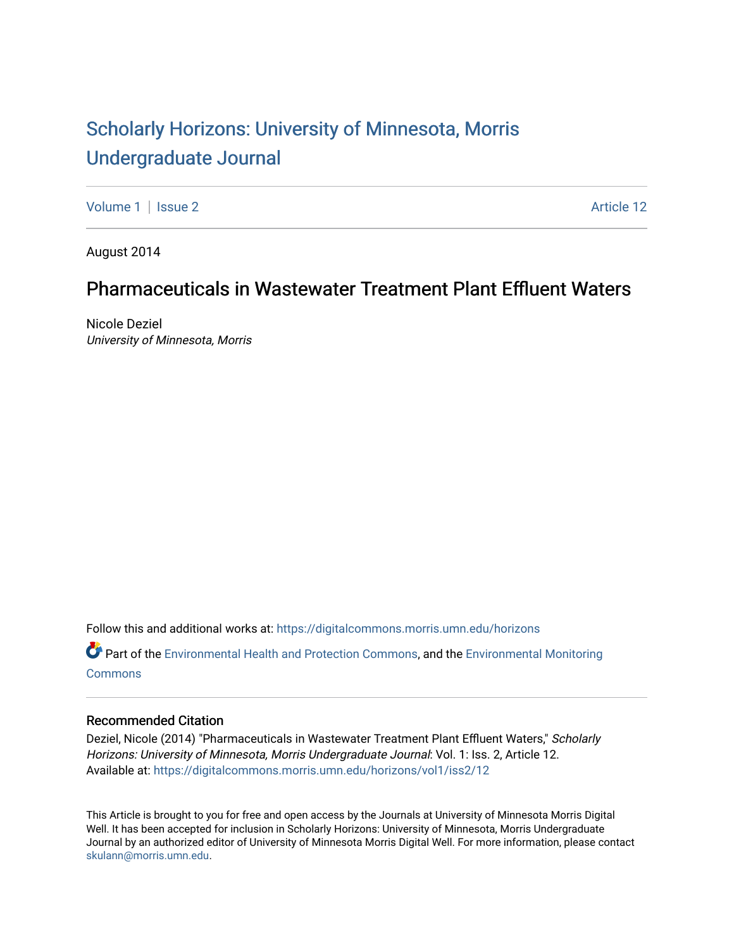# [Scholarly Horizons: University of Minnesota, Morris](https://digitalcommons.morris.umn.edu/horizons) [Undergraduate Journal](https://digitalcommons.morris.umn.edu/horizons)

[Volume 1](https://digitalcommons.morris.umn.edu/horizons/vol1) | [Issue 2](https://digitalcommons.morris.umn.edu/horizons/vol1/iss2) Article 12

August 2014

## Pharmaceuticals in Wastewater Treatment Plant Effluent Waters

Nicole Deziel University of Minnesota, Morris

Follow this and additional works at: [https://digitalcommons.morris.umn.edu/horizons](https://digitalcommons.morris.umn.edu/horizons?utm_source=digitalcommons.morris.umn.edu%2Fhorizons%2Fvol1%2Fiss2%2F12&utm_medium=PDF&utm_campaign=PDFCoverPages) 

Part of the [Environmental Health and Protection Commons,](https://network.bepress.com/hgg/discipline/172?utm_source=digitalcommons.morris.umn.edu%2Fhorizons%2Fvol1%2Fiss2%2F12&utm_medium=PDF&utm_campaign=PDFCoverPages) and the [Environmental Monitoring](https://network.bepress.com/hgg/discipline/931?utm_source=digitalcommons.morris.umn.edu%2Fhorizons%2Fvol1%2Fiss2%2F12&utm_medium=PDF&utm_campaign=PDFCoverPages) **[Commons](https://network.bepress.com/hgg/discipline/931?utm_source=digitalcommons.morris.umn.edu%2Fhorizons%2Fvol1%2Fiss2%2F12&utm_medium=PDF&utm_campaign=PDFCoverPages)** 

## Recommended Citation

Deziel, Nicole (2014) "Pharmaceuticals in Wastewater Treatment Plant Effluent Waters," Scholarly Horizons: University of Minnesota, Morris Undergraduate Journal: Vol. 1: Iss. 2, Article 12. Available at: [https://digitalcommons.morris.umn.edu/horizons/vol1/iss2/12](https://digitalcommons.morris.umn.edu/horizons/vol1/iss2/12?utm_source=digitalcommons.morris.umn.edu%2Fhorizons%2Fvol1%2Fiss2%2F12&utm_medium=PDF&utm_campaign=PDFCoverPages)

This Article is brought to you for free and open access by the Journals at University of Minnesota Morris Digital Well. It has been accepted for inclusion in Scholarly Horizons: University of Minnesota, Morris Undergraduate Journal by an authorized editor of University of Minnesota Morris Digital Well. For more information, please contact [skulann@morris.umn.edu.](mailto:skulann@morris.umn.edu)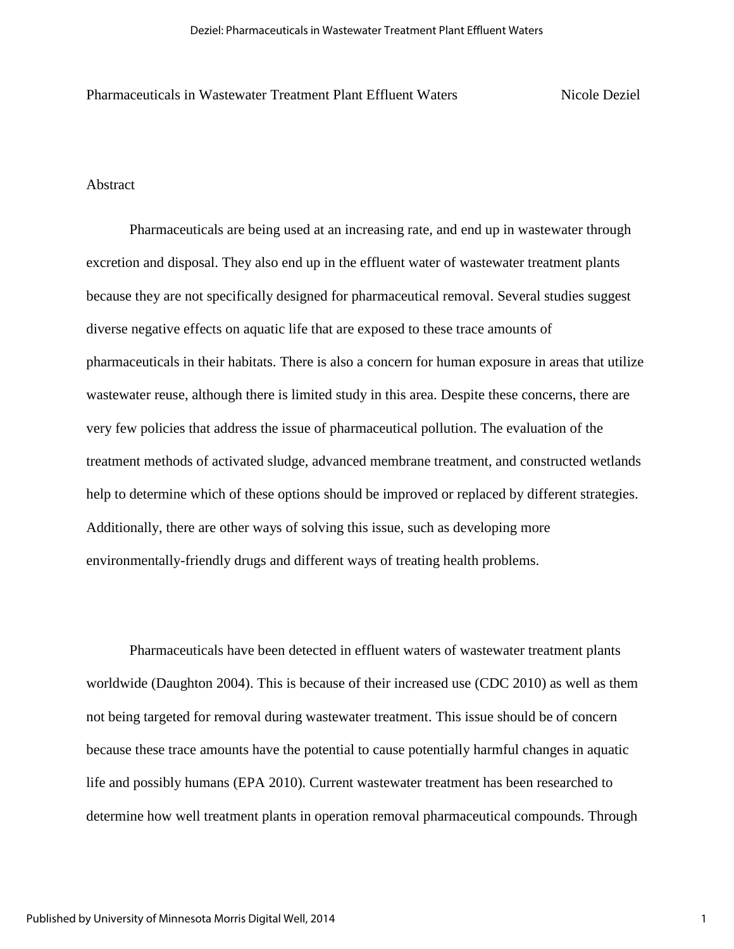Pharmaceuticals in Wastewater Treatment Plant Effluent Waters Nicole Deziel

## Abstract

Pharmaceuticals are being used at an increasing rate, and end up in wastewater through excretion and disposal. They also end up in the effluent water of wastewater treatment plants because they are not specifically designed for pharmaceutical removal. Several studies suggest diverse negative effects on aquatic life that are exposed to these trace amounts of pharmaceuticals in their habitats. There is also a concern for human exposure in areas that utilize wastewater reuse, although there is limited study in this area. Despite these concerns, there are very few policies that address the issue of pharmaceutical pollution. The evaluation of the treatment methods of activated sludge, advanced membrane treatment, and constructed wetlands help to determine which of these options should be improved or replaced by different strategies. Additionally, there are other ways of solving this issue, such as developing more environmentally-friendly drugs and different ways of treating health problems.

Pharmaceuticals have been detected in effluent waters of wastewater treatment plants worldwide (Daughton 2004). This is because of their increased use (CDC 2010) as well as them not being targeted for removal during wastewater treatment. This issue should be of concern because these trace amounts have the potential to cause potentially harmful changes in aquatic life and possibly humans (EPA 2010). Current wastewater treatment has been researched to determine how well treatment plants in operation removal pharmaceutical compounds. Through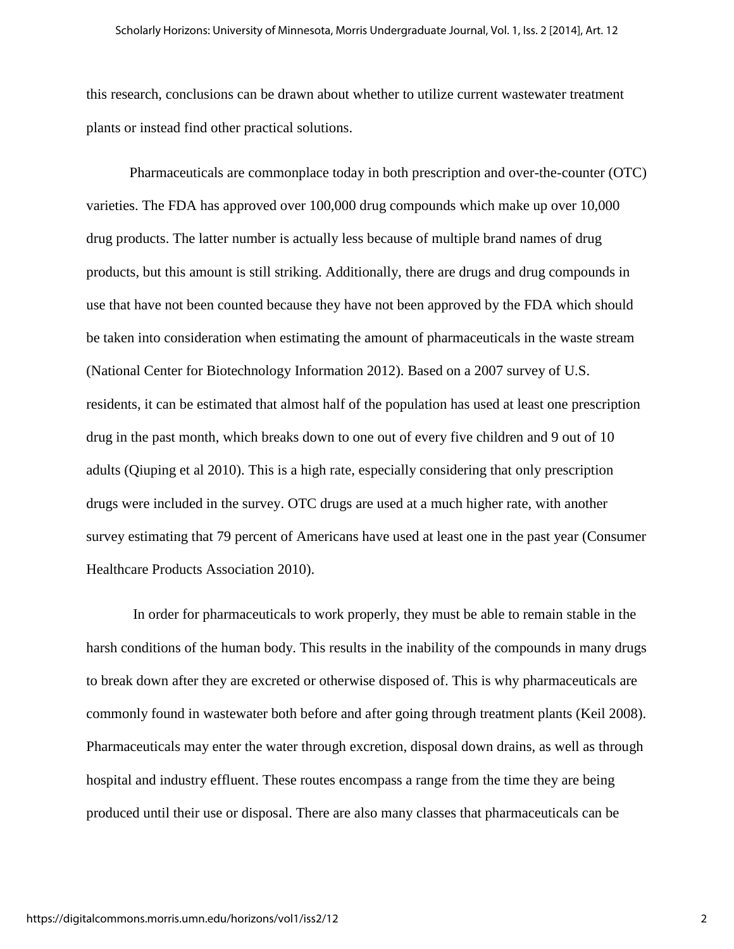this research, conclusions can be drawn about whether to utilize current wastewater treatment plants or instead find other practical solutions.

Pharmaceuticals are commonplace today in both prescription and over-the-counter (OTC) varieties. The FDA has approved over 100,000 drug compounds which make up over 10,000 drug products. The latter number is actually less because of multiple brand names of drug products, but this amount is still striking. Additionally, there are drugs and drug compounds in use that have not been counted because they have not been approved by the FDA which should be taken into consideration when estimating the amount of pharmaceuticals in the waste stream (National Center for Biotechnology Information 2012). Based on a 2007 survey of U.S. residents, it can be estimated that almost half of the population has used at least one prescription drug in the past month, which breaks down to one out of every five children and 9 out of 10 adults (Qiuping et al 2010). This is a high rate, especially considering that only prescription drugs were included in the survey. OTC drugs are used at a much higher rate, with another survey estimating that 79 percent of Americans have used at least one in the past year (Consumer Healthcare Products Association 2010).

 In order for pharmaceuticals to work properly, they must be able to remain stable in the harsh conditions of the human body. This results in the inability of the compounds in many drugs to break down after they are excreted or otherwise disposed of. This is why pharmaceuticals are commonly found in wastewater both before and after going through treatment plants (Keil 2008). Pharmaceuticals may enter the water through excretion, disposal down drains, as well as through hospital and industry effluent. These routes encompass a range from the time they are being produced until their use or disposal. There are also many classes that pharmaceuticals can be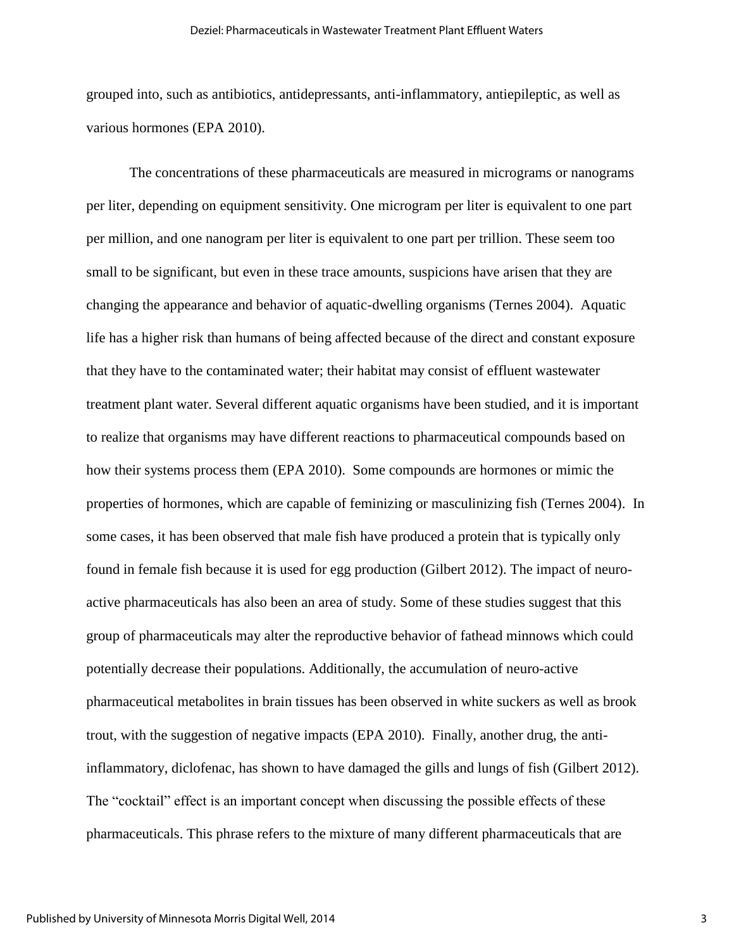grouped into, such as antibiotics, antidepressants, anti-inflammatory, antiepileptic, as well as various hormones (EPA 2010).

The concentrations of these pharmaceuticals are measured in micrograms or nanograms per liter, depending on equipment sensitivity. One microgram per liter is equivalent to one part per million, and one nanogram per liter is equivalent to one part per trillion. These seem too small to be significant, but even in these trace amounts, suspicions have arisen that they are changing the appearance and behavior of aquatic-dwelling organisms (Ternes 2004). Aquatic life has a higher risk than humans of being affected because of the direct and constant exposure that they have to the contaminated water; their habitat may consist of effluent wastewater treatment plant water. Several different aquatic organisms have been studied, and it is important to realize that organisms may have different reactions to pharmaceutical compounds based on how their systems process them (EPA 2010). Some compounds are hormones or mimic the properties of hormones, which are capable of feminizing or masculinizing fish (Ternes 2004). In some cases, it has been observed that male fish have produced a protein that is typically only found in female fish because it is used for egg production (Gilbert 2012). The impact of neuroactive pharmaceuticals has also been an area of study. Some of these studies suggest that this group of pharmaceuticals may alter the reproductive behavior of fathead minnows which could potentially decrease their populations. Additionally, the accumulation of neuro-active pharmaceutical metabolites in brain tissues has been observed in white suckers as well as brook trout, with the suggestion of negative impacts (EPA 2010). Finally, another drug, the antiinflammatory, diclofenac, has shown to have damaged the gills and lungs of fish (Gilbert 2012). The "cocktail" effect is an important concept when discussing the possible effects of these pharmaceuticals. This phrase refers to the mixture of many different pharmaceuticals that are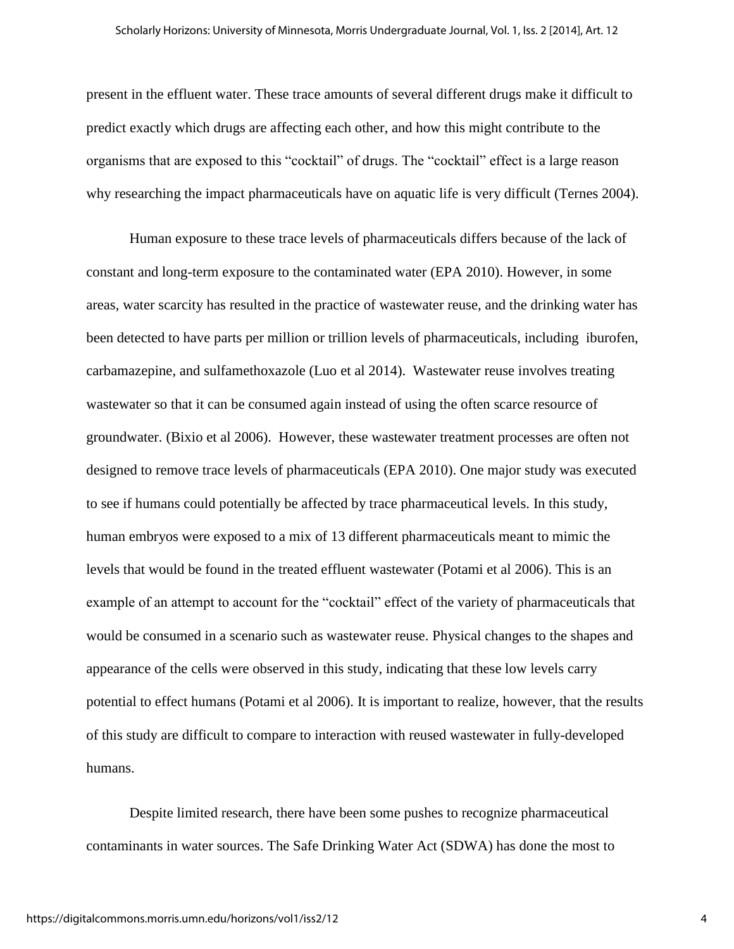present in the effluent water. These trace amounts of several different drugs make it difficult to predict exactly which drugs are affecting each other, and how this might contribute to the organisms that are exposed to this "cocktail" of drugs. The "cocktail" effect is a large reason why researching the impact pharmaceuticals have on aquatic life is very difficult (Ternes 2004).

Human exposure to these trace levels of pharmaceuticals differs because of the lack of constant and long-term exposure to the contaminated water (EPA 2010). However, in some areas, water scarcity has resulted in the practice of wastewater reuse, and the drinking water has been detected to have parts per million or trillion levels of pharmaceuticals, including iburofen, carbamazepine, and sulfamethoxazole (Luo et al 2014). Wastewater reuse involves treating wastewater so that it can be consumed again instead of using the often scarce resource of groundwater. (Bixio et al 2006). However, these wastewater treatment processes are often not designed to remove trace levels of pharmaceuticals (EPA 2010). One major study was executed to see if humans could potentially be affected by trace pharmaceutical levels. In this study, human embryos were exposed to a mix of 13 different pharmaceuticals meant to mimic the levels that would be found in the treated effluent wastewater (Potami et al 2006). This is an example of an attempt to account for the "cocktail" effect of the variety of pharmaceuticals that would be consumed in a scenario such as wastewater reuse. Physical changes to the shapes and appearance of the cells were observed in this study, indicating that these low levels carry potential to effect humans (Potami et al 2006). It is important to realize, however, that the results of this study are difficult to compare to interaction with reused wastewater in fully-developed humans.

Despite limited research, there have been some pushes to recognize pharmaceutical contaminants in water sources. The Safe Drinking Water Act (SDWA) has done the most to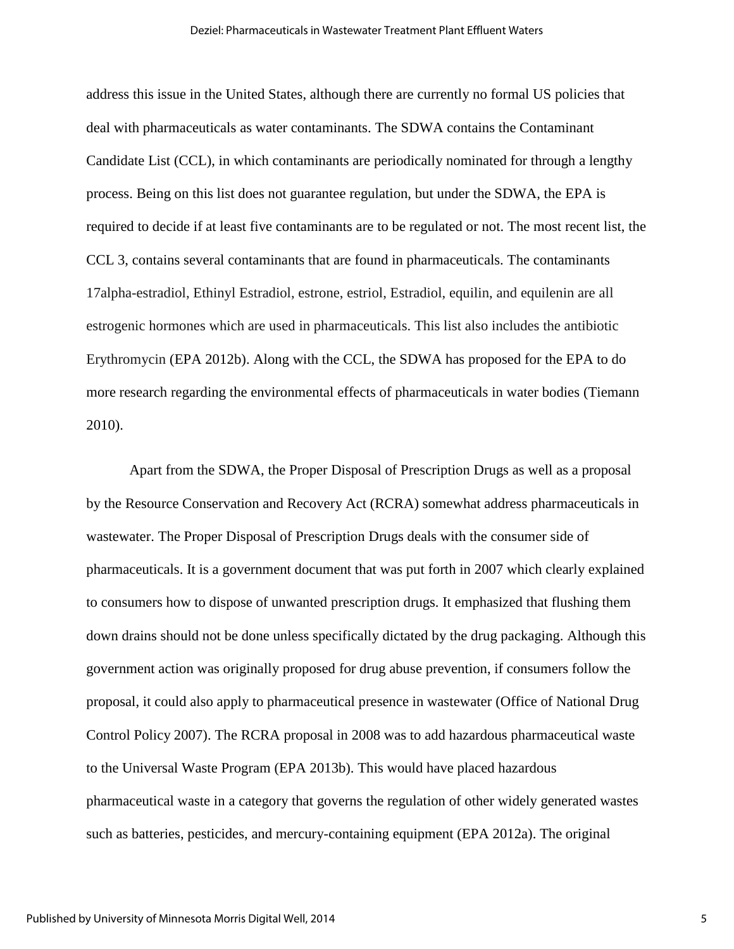address this issue in the United States, although there are currently no formal US policies that deal with pharmaceuticals as water contaminants. The SDWA contains the Contaminant Candidate List (CCL), in which contaminants are periodically nominated for through a lengthy process. Being on this list does not guarantee regulation, but under the SDWA, the EPA is required to decide if at least five contaminants are to be regulated or not. The most recent list, the CCL 3, contains several contaminants that are found in pharmaceuticals. The contaminants 17alpha-estradiol, Ethinyl Estradiol, estrone, estriol, Estradiol, equilin, and equilenin are all estrogenic hormones which are used in pharmaceuticals. This list also includes the antibiotic Erythromycin (EPA 2012b). Along with the CCL, the SDWA has proposed for the EPA to do more research regarding the environmental effects of pharmaceuticals in water bodies (Tiemann 2010).

Apart from the SDWA, the Proper Disposal of Prescription Drugs as well as a proposal by the Resource Conservation and Recovery Act (RCRA) somewhat address pharmaceuticals in wastewater. The Proper Disposal of Prescription Drugs deals with the consumer side of pharmaceuticals. It is a government document that was put forth in 2007 which clearly explained to consumers how to dispose of unwanted prescription drugs. It emphasized that flushing them down drains should not be done unless specifically dictated by the drug packaging. Although this government action was originally proposed for drug abuse prevention, if consumers follow the proposal, it could also apply to pharmaceutical presence in wastewater (Office of National Drug Control Policy 2007). The RCRA proposal in 2008 was to add hazardous pharmaceutical waste to the Universal Waste Program (EPA 2013b). This would have placed hazardous pharmaceutical waste in a category that governs the regulation of other widely generated wastes such as batteries, pesticides, and mercury-containing equipment (EPA 2012a). The original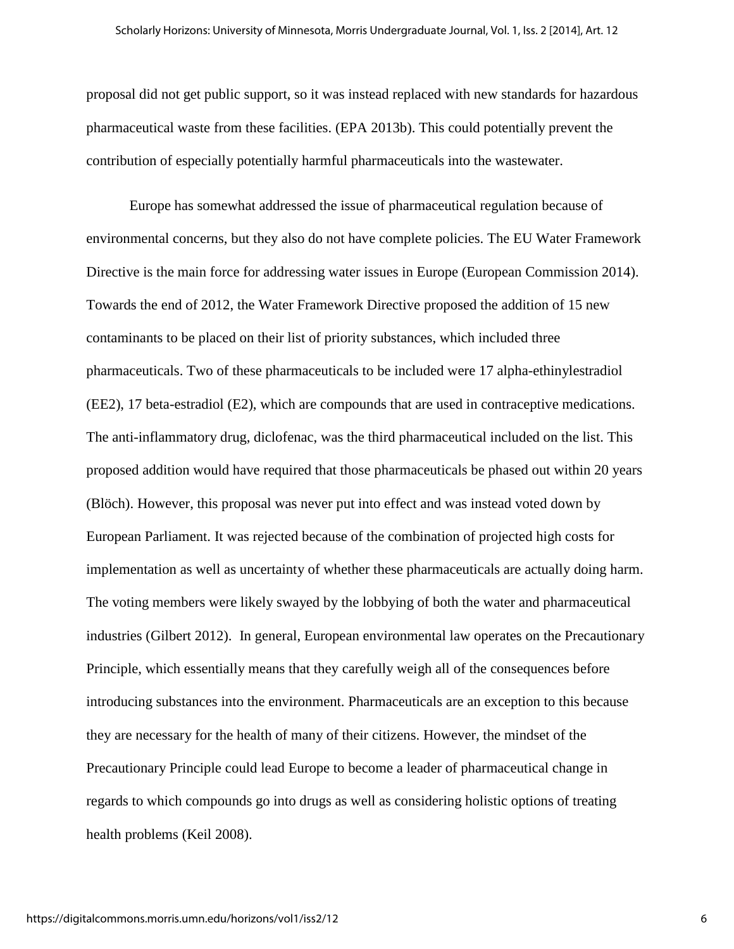proposal did not get public support, so it was instead replaced with new standards for hazardous pharmaceutical waste from these facilities. (EPA 2013b). This could potentially prevent the contribution of especially potentially harmful pharmaceuticals into the wastewater.

Europe has somewhat addressed the issue of pharmaceutical regulation because of environmental concerns, but they also do not have complete policies. The EU Water Framework Directive is the main force for addressing water issues in Europe (European Commission 2014). Towards the end of 2012, the Water Framework Directive proposed the addition of 15 new contaminants to be placed on their list of priority substances, which included three pharmaceuticals. Two of these pharmaceuticals to be included were 17 alpha-ethinylestradiol (EE2), 17 beta-estradiol (E2), which are compounds that are used in contraceptive medications. The anti-inflammatory drug, diclofenac, was the third pharmaceutical included on the list. This proposed addition would have required that those pharmaceuticals be phased out within 20 years (Blöch). However, this proposal was never put into effect and was instead voted down by European Parliament. It was rejected because of the combination of projected high costs for implementation as well as uncertainty of whether these pharmaceuticals are actually doing harm. The voting members were likely swayed by the lobbying of both the water and pharmaceutical industries (Gilbert 2012). In general, European environmental law operates on the Precautionary Principle, which essentially means that they carefully weigh all of the consequences before introducing substances into the environment. Pharmaceuticals are an exception to this because they are necessary for the health of many of their citizens. However, the mindset of the Precautionary Principle could lead Europe to become a leader of pharmaceutical change in regards to which compounds go into drugs as well as considering holistic options of treating health problems (Keil 2008).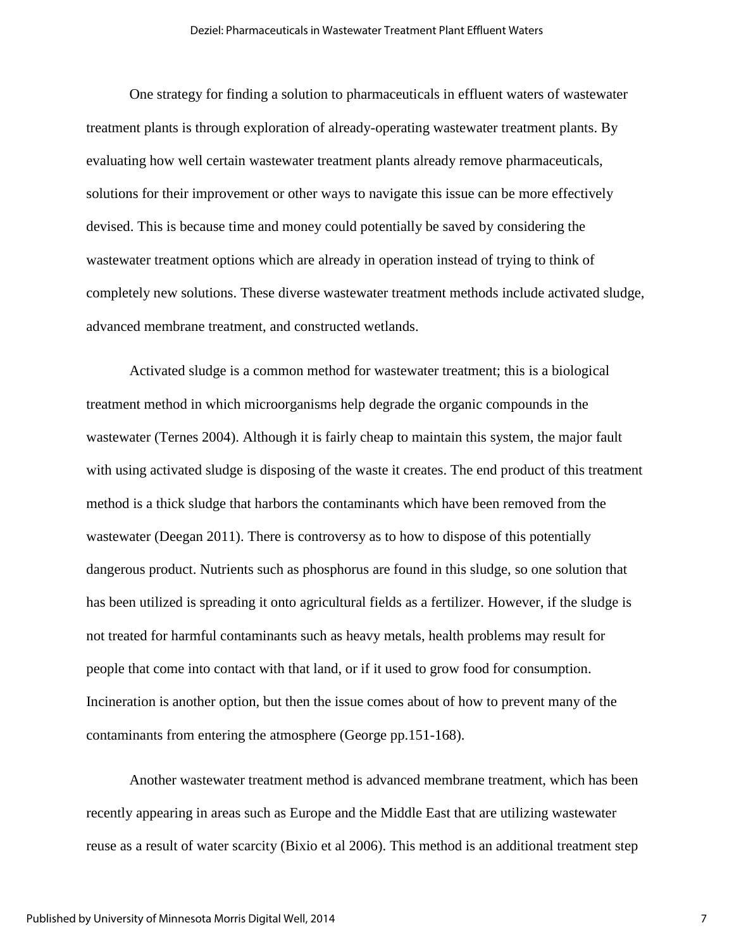One strategy for finding a solution to pharmaceuticals in effluent waters of wastewater treatment plants is through exploration of already-operating wastewater treatment plants. By evaluating how well certain wastewater treatment plants already remove pharmaceuticals, solutions for their improvement or other ways to navigate this issue can be more effectively devised. This is because time and money could potentially be saved by considering the wastewater treatment options which are already in operation instead of trying to think of completely new solutions. These diverse wastewater treatment methods include activated sludge, advanced membrane treatment, and constructed wetlands.

Activated sludge is a common method for wastewater treatment; this is a biological treatment method in which microorganisms help degrade the organic compounds in the wastewater (Ternes 2004). Although it is fairly cheap to maintain this system, the major fault with using activated sludge is disposing of the waste it creates. The end product of this treatment method is a thick sludge that harbors the contaminants which have been removed from the wastewater (Deegan 2011). There is controversy as to how to dispose of this potentially dangerous product. Nutrients such as phosphorus are found in this sludge, so one solution that has been utilized is spreading it onto agricultural fields as a fertilizer. However, if the sludge is not treated for harmful contaminants such as heavy metals, health problems may result for people that come into contact with that land, or if it used to grow food for consumption. Incineration is another option, but then the issue comes about of how to prevent many of the contaminants from entering the atmosphere (George pp.151-168).

Another wastewater treatment method is advanced membrane treatment, which has been recently appearing in areas such as Europe and the Middle East that are utilizing wastewater reuse as a result of water scarcity (Bixio et al 2006). This method is an additional treatment step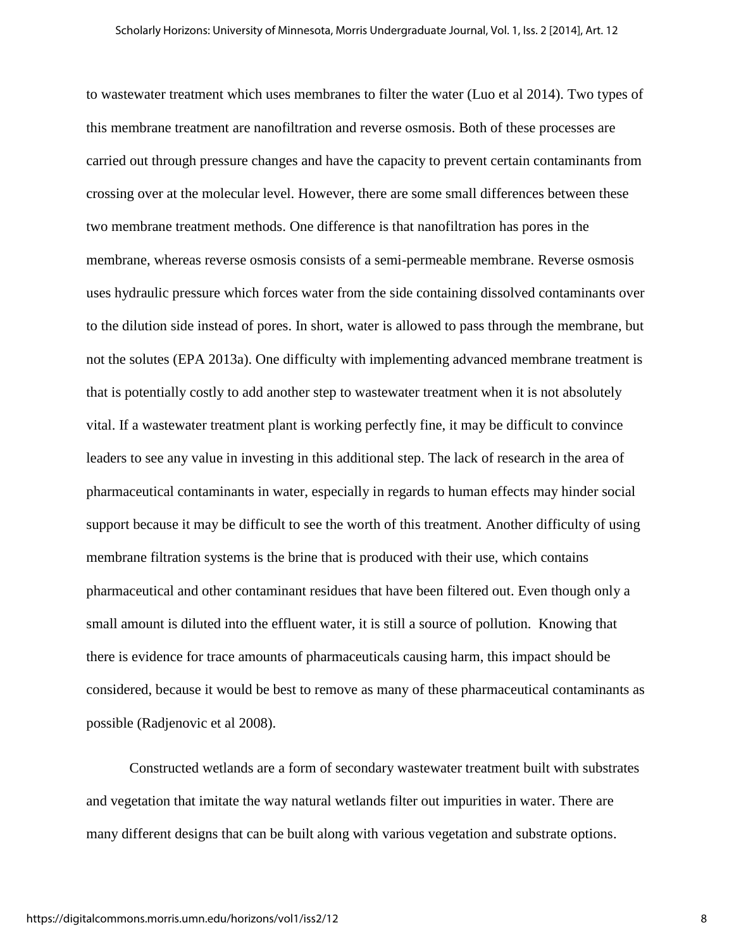to wastewater treatment which uses membranes to filter the water (Luo et al 2014). Two types of this membrane treatment are nanofiltration and reverse osmosis. Both of these processes are carried out through pressure changes and have the capacity to prevent certain contaminants from crossing over at the molecular level. However, there are some small differences between these two membrane treatment methods. One difference is that nanofiltration has pores in the membrane, whereas reverse osmosis consists of a semi-permeable membrane. Reverse osmosis uses hydraulic pressure which forces water from the side containing dissolved contaminants over to the dilution side instead of pores. In short, water is allowed to pass through the membrane, but not the solutes (EPA 2013a). One difficulty with implementing advanced membrane treatment is that is potentially costly to add another step to wastewater treatment when it is not absolutely vital. If a wastewater treatment plant is working perfectly fine, it may be difficult to convince leaders to see any value in investing in this additional step. The lack of research in the area of pharmaceutical contaminants in water, especially in regards to human effects may hinder social support because it may be difficult to see the worth of this treatment. Another difficulty of using membrane filtration systems is the brine that is produced with their use, which contains pharmaceutical and other contaminant residues that have been filtered out. Even though only a small amount is diluted into the effluent water, it is still a source of pollution. Knowing that there is evidence for trace amounts of pharmaceuticals causing harm, this impact should be considered, because it would be best to remove as many of these pharmaceutical contaminants as possible (Radjenovic et al 2008).

Constructed wetlands are a form of secondary wastewater treatment built with substrates and vegetation that imitate the way natural wetlands filter out impurities in water. There are many different designs that can be built along with various vegetation and substrate options.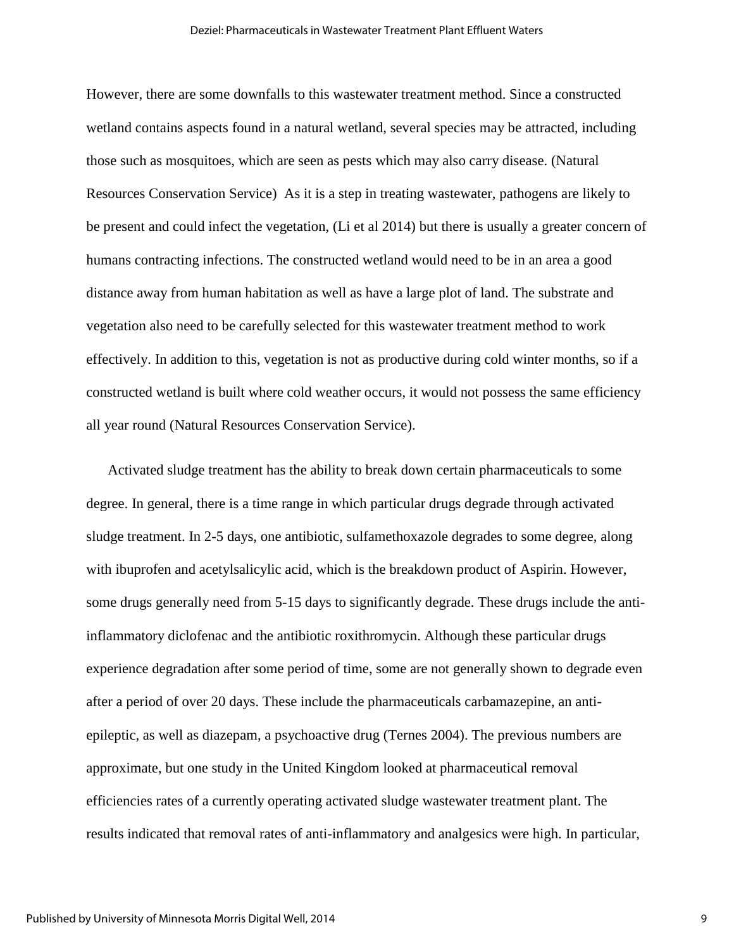#### Deziel: Pharmaceuticals in Wastewater Treatment Plant Effluent Waters

However, there are some downfalls to this wastewater treatment method. Since a constructed wetland contains aspects found in a natural wetland, several species may be attracted, including those such as mosquitoes, which are seen as pests which may also carry disease. (Natural Resources Conservation Service) As it is a step in treating wastewater, pathogens are likely to be present and could infect the vegetation, (Li et al 2014) but there is usually a greater concern of humans contracting infections. The constructed wetland would need to be in an area a good distance away from human habitation as well as have a large plot of land. The substrate and vegetation also need to be carefully selected for this wastewater treatment method to work effectively. In addition to this, vegetation is not as productive during cold winter months, so if a constructed wetland is built where cold weather occurs, it would not possess the same efficiency all year round (Natural Resources Conservation Service).

Activated sludge treatment has the ability to break down certain pharmaceuticals to some degree. In general, there is a time range in which particular drugs degrade through activated sludge treatment. In 2-5 days, one antibiotic, sulfamethoxazole degrades to some degree, along with ibuprofen and acetylsalicylic acid, which is the breakdown product of Aspirin. However, some drugs generally need from 5-15 days to significantly degrade. These drugs include the antiinflammatory diclofenac and the antibiotic roxithromycin. Although these particular drugs experience degradation after some period of time, some are not generally shown to degrade even after a period of over 20 days. These include the pharmaceuticals carbamazepine, an antiepileptic, as well as diazepam, a psychoactive drug (Ternes 2004). The previous numbers are approximate, but one study in the United Kingdom looked at pharmaceutical removal efficiencies rates of a currently operating activated sludge wastewater treatment plant. The results indicated that removal rates of anti-inflammatory and analgesics were high. In particular,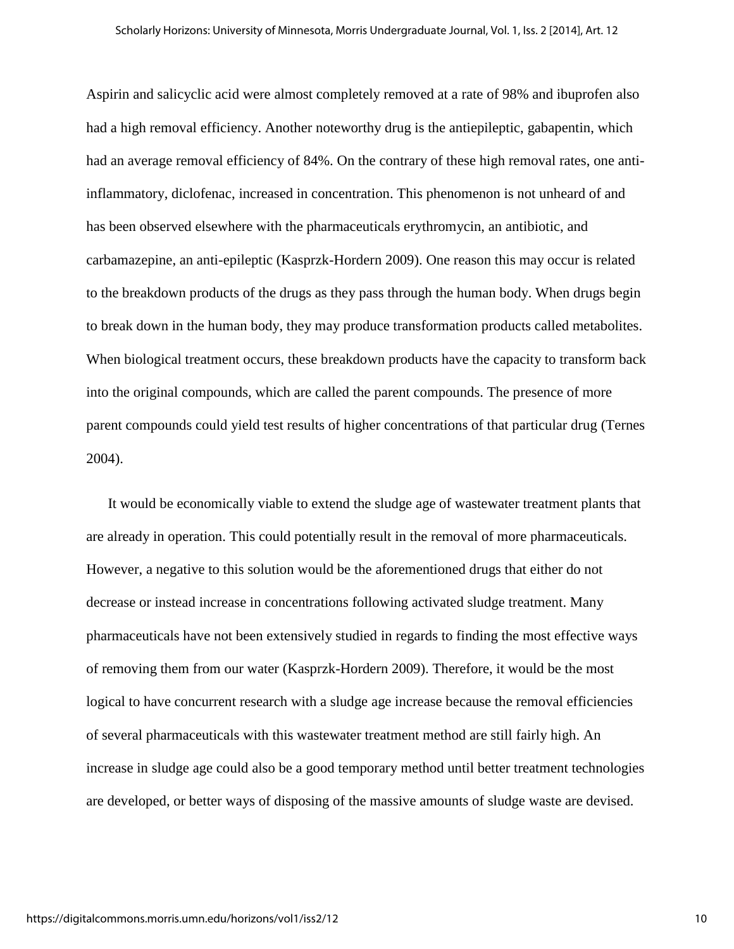Aspirin and salicyclic acid were almost completely removed at a rate of 98% and ibuprofen also had a high removal efficiency. Another noteworthy drug is the antiepileptic, gabapentin, which had an average removal efficiency of 84%. On the contrary of these high removal rates, one antiinflammatory, diclofenac, increased in concentration. This phenomenon is not unheard of and has been observed elsewhere with the pharmaceuticals erythromycin, an antibiotic, and carbamazepine, an anti-epileptic (Kasprzk-Hordern 2009). One reason this may occur is related to the breakdown products of the drugs as they pass through the human body. When drugs begin to break down in the human body, they may produce transformation products called metabolites. When biological treatment occurs, these breakdown products have the capacity to transform back into the original compounds, which are called the parent compounds. The presence of more parent compounds could yield test results of higher concentrations of that particular drug (Ternes 2004).

It would be economically viable to extend the sludge age of wastewater treatment plants that are already in operation. This could potentially result in the removal of more pharmaceuticals. However, a negative to this solution would be the aforementioned drugs that either do not decrease or instead increase in concentrations following activated sludge treatment. Many pharmaceuticals have not been extensively studied in regards to finding the most effective ways of removing them from our water (Kasprzk-Hordern 2009). Therefore, it would be the most logical to have concurrent research with a sludge age increase because the removal efficiencies of several pharmaceuticals with this wastewater treatment method are still fairly high. An increase in sludge age could also be a good temporary method until better treatment technologies are developed, or better ways of disposing of the massive amounts of sludge waste are devised.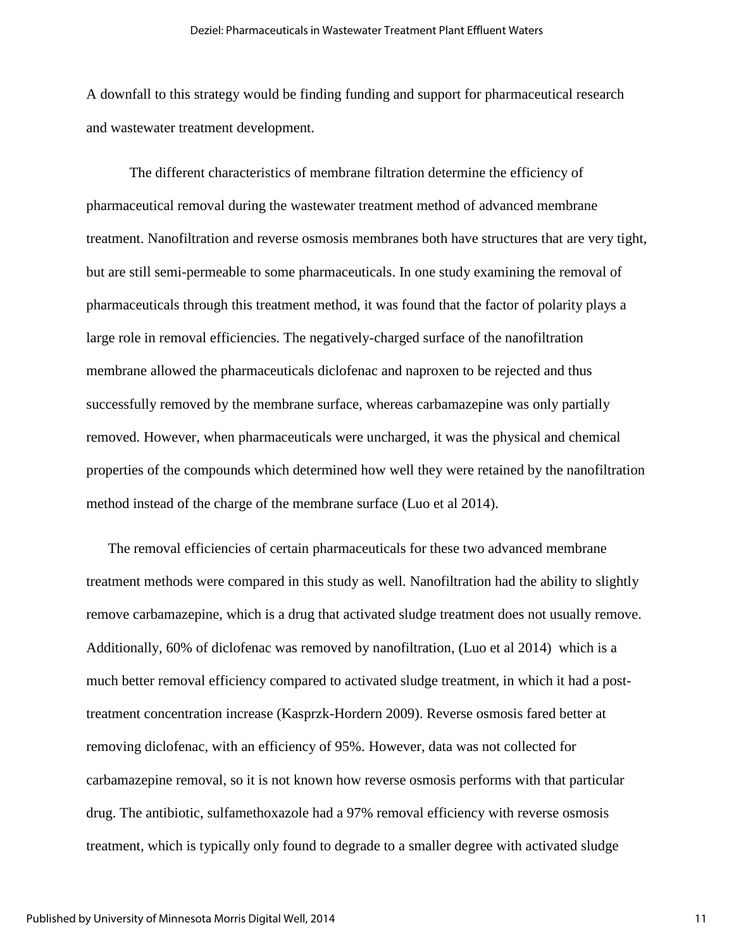A downfall to this strategy would be finding funding and support for pharmaceutical research and wastewater treatment development.

 The different characteristics of membrane filtration determine the efficiency of pharmaceutical removal during the wastewater treatment method of advanced membrane treatment. Nanofiltration and reverse osmosis membranes both have structures that are very tight, but are still semi-permeable to some pharmaceuticals. In one study examining the removal of pharmaceuticals through this treatment method, it was found that the factor of polarity plays a large role in removal efficiencies. The negatively-charged surface of the nanofiltration membrane allowed the pharmaceuticals diclofenac and naproxen to be rejected and thus successfully removed by the membrane surface, whereas carbamazepine was only partially removed. However, when pharmaceuticals were uncharged, it was the physical and chemical properties of the compounds which determined how well they were retained by the nanofiltration method instead of the charge of the membrane surface (Luo et al 2014).

The removal efficiencies of certain pharmaceuticals for these two advanced membrane treatment methods were compared in this study as well. Nanofiltration had the ability to slightly remove carbamazepine, which is a drug that activated sludge treatment does not usually remove. Additionally, 60% of diclofenac was removed by nanofiltration, (Luo et al 2014) which is a much better removal efficiency compared to activated sludge treatment, in which it had a posttreatment concentration increase (Kasprzk-Hordern 2009). Reverse osmosis fared better at removing diclofenac, with an efficiency of 95%. However, data was not collected for carbamazepine removal, so it is not known how reverse osmosis performs with that particular drug. The antibiotic, sulfamethoxazole had a 97% removal efficiency with reverse osmosis treatment, which is typically only found to degrade to a smaller degree with activated sludge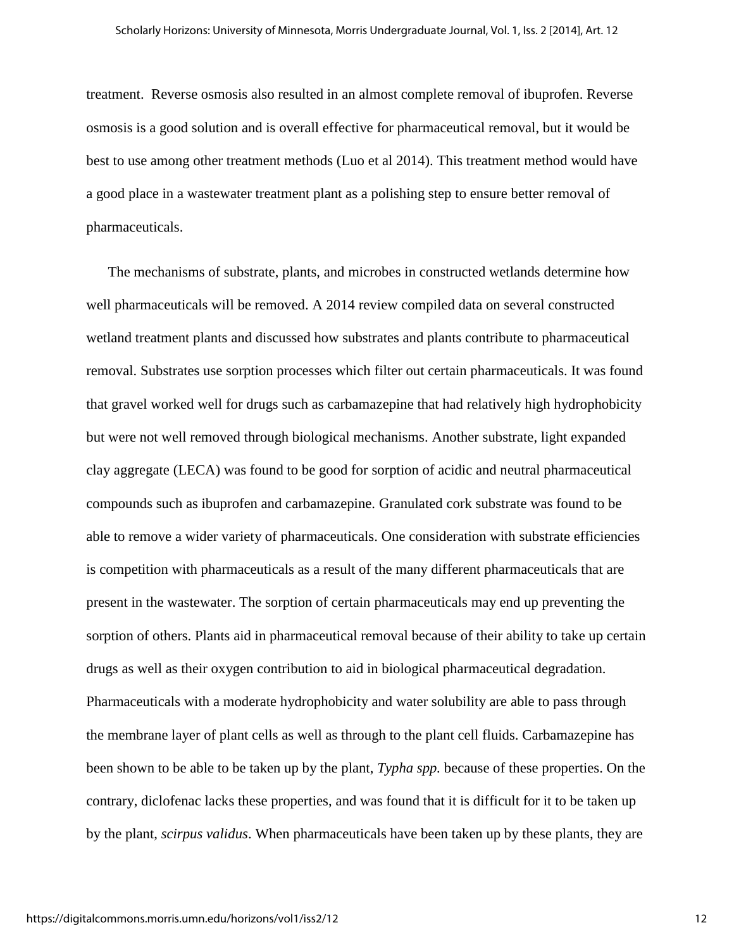treatment. Reverse osmosis also resulted in an almost complete removal of ibuprofen. Reverse osmosis is a good solution and is overall effective for pharmaceutical removal, but it would be best to use among other treatment methods (Luo et al 2014). This treatment method would have a good place in a wastewater treatment plant as a polishing step to ensure better removal of pharmaceuticals.

The mechanisms of substrate, plants, and microbes in constructed wetlands determine how well pharmaceuticals will be removed. A 2014 review compiled data on several constructed wetland treatment plants and discussed how substrates and plants contribute to pharmaceutical removal. Substrates use sorption processes which filter out certain pharmaceuticals. It was found that gravel worked well for drugs such as carbamazepine that had relatively high hydrophobicity but were not well removed through biological mechanisms. Another substrate, light expanded clay aggregate (LECA) was found to be good for sorption of acidic and neutral pharmaceutical compounds such as ibuprofen and carbamazepine. Granulated cork substrate was found to be able to remove a wider variety of pharmaceuticals. One consideration with substrate efficiencies is competition with pharmaceuticals as a result of the many different pharmaceuticals that are present in the wastewater. The sorption of certain pharmaceuticals may end up preventing the sorption of others. Plants aid in pharmaceutical removal because of their ability to take up certain drugs as well as their oxygen contribution to aid in biological pharmaceutical degradation. Pharmaceuticals with a moderate hydrophobicity and water solubility are able to pass through the membrane layer of plant cells as well as through to the plant cell fluids. Carbamazepine has been shown to be able to be taken up by the plant, *Typha spp.* because of these properties. On the contrary, diclofenac lacks these properties, and was found that it is difficult for it to be taken up by the plant, *scirpus validus*. When pharmaceuticals have been taken up by these plants, they are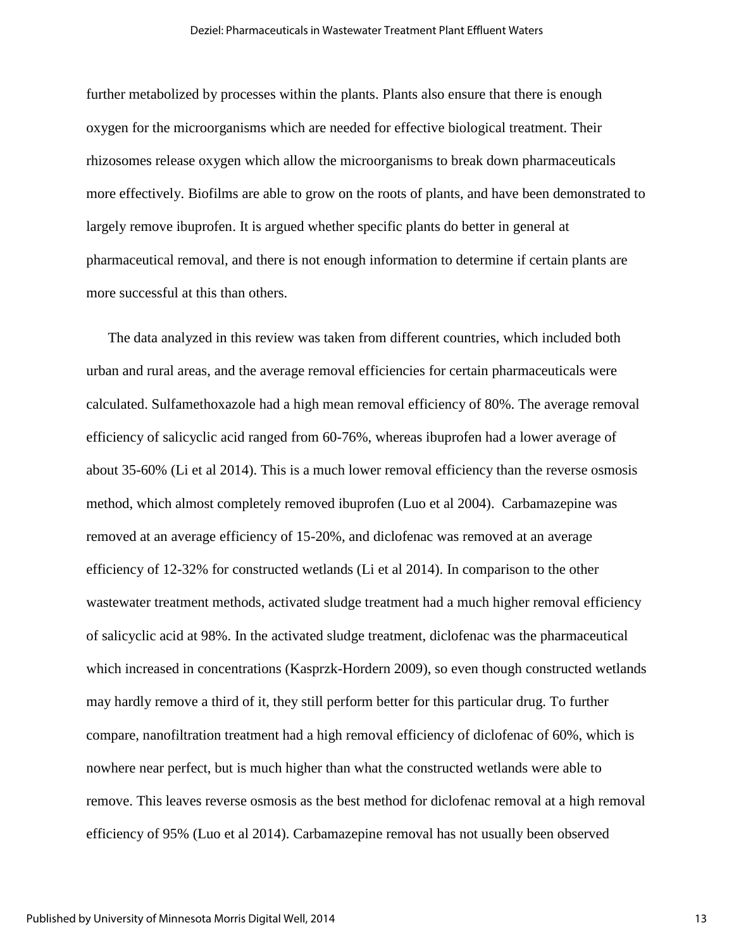further metabolized by processes within the plants. Plants also ensure that there is enough oxygen for the microorganisms which are needed for effective biological treatment. Their rhizosomes release oxygen which allow the microorganisms to break down pharmaceuticals more effectively. Biofilms are able to grow on the roots of plants, and have been demonstrated to largely remove ibuprofen. It is argued whether specific plants do better in general at pharmaceutical removal, and there is not enough information to determine if certain plants are more successful at this than others.

The data analyzed in this review was taken from different countries, which included both urban and rural areas, and the average removal efficiencies for certain pharmaceuticals were calculated. Sulfamethoxazole had a high mean removal efficiency of 80%. The average removal efficiency of salicyclic acid ranged from 60-76%, whereas ibuprofen had a lower average of about 35-60% (Li et al 2014). This is a much lower removal efficiency than the reverse osmosis method, which almost completely removed ibuprofen (Luo et al 2004). Carbamazepine was removed at an average efficiency of 15-20%, and diclofenac was removed at an average efficiency of 12-32% for constructed wetlands (Li et al 2014). In comparison to the other wastewater treatment methods, activated sludge treatment had a much higher removal efficiency of salicyclic acid at 98%. In the activated sludge treatment, diclofenac was the pharmaceutical which increased in concentrations (Kasprzk-Hordern 2009), so even though constructed wetlands may hardly remove a third of it, they still perform better for this particular drug. To further compare, nanofiltration treatment had a high removal efficiency of diclofenac of 60%, which is nowhere near perfect, but is much higher than what the constructed wetlands were able to remove. This leaves reverse osmosis as the best method for diclofenac removal at a high removal efficiency of 95% (Luo et al 2014). Carbamazepine removal has not usually been observed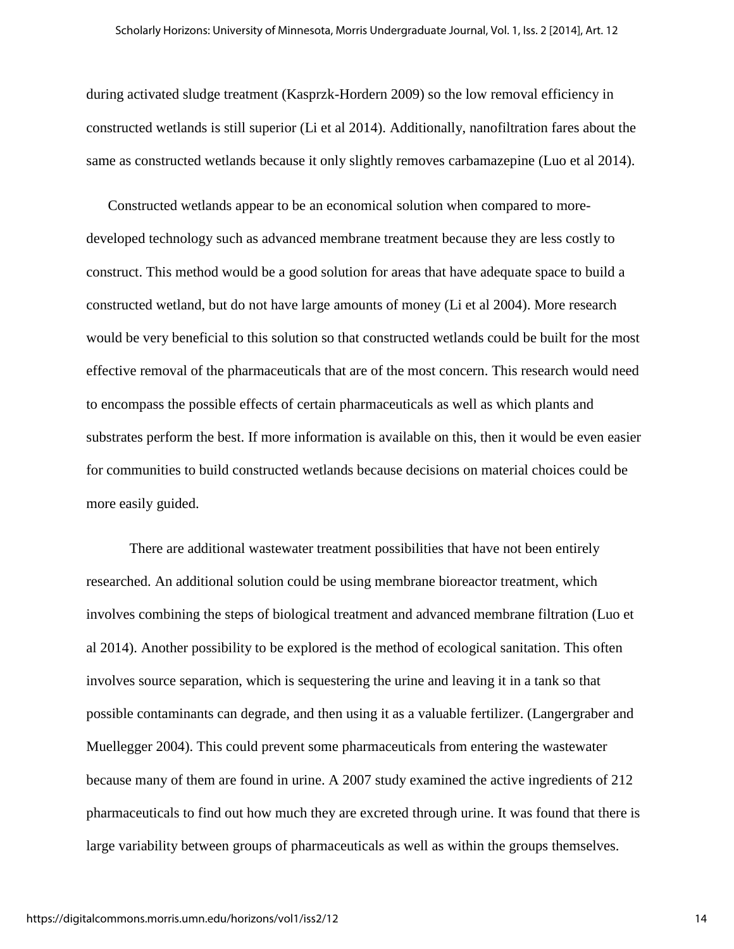during activated sludge treatment (Kasprzk-Hordern 2009) so the low removal efficiency in constructed wetlands is still superior (Li et al 2014). Additionally, nanofiltration fares about the same as constructed wetlands because it only slightly removes carbamazepine (Luo et al 2014).

Constructed wetlands appear to be an economical solution when compared to moredeveloped technology such as advanced membrane treatment because they are less costly to construct. This method would be a good solution for areas that have adequate space to build a constructed wetland, but do not have large amounts of money (Li et al 2004). More research would be very beneficial to this solution so that constructed wetlands could be built for the most effective removal of the pharmaceuticals that are of the most concern. This research would need to encompass the possible effects of certain pharmaceuticals as well as which plants and substrates perform the best. If more information is available on this, then it would be even easier for communities to build constructed wetlands because decisions on material choices could be more easily guided.

 There are additional wastewater treatment possibilities that have not been entirely researched. An additional solution could be using membrane bioreactor treatment, which involves combining the steps of biological treatment and advanced membrane filtration (Luo et al 2014). Another possibility to be explored is the method of ecological sanitation. This often involves source separation, which is sequestering the urine and leaving it in a tank so that possible contaminants can degrade, and then using it as a valuable fertilizer. (Langergraber and Muellegger 2004). This could prevent some pharmaceuticals from entering the wastewater because many of them are found in urine. A 2007 study examined the active ingredients of 212 pharmaceuticals to find out how much they are excreted through urine. It was found that there is large variability between groups of pharmaceuticals as well as within the groups themselves.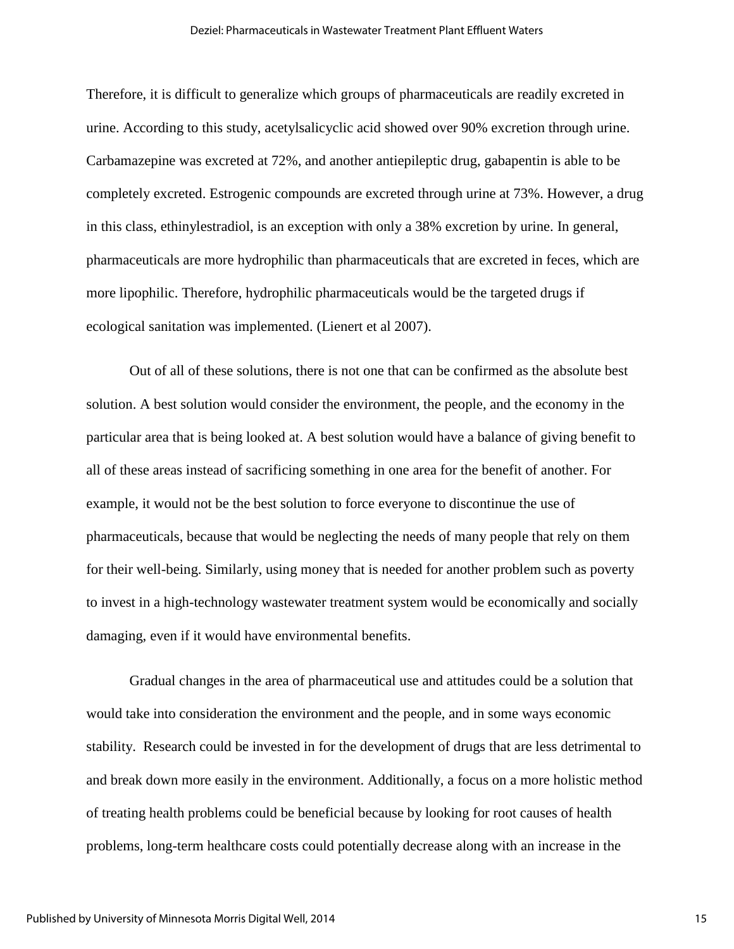#### Deziel: Pharmaceuticals in Wastewater Treatment Plant Effluent Waters

Therefore, it is difficult to generalize which groups of pharmaceuticals are readily excreted in urine. According to this study, acetylsalicyclic acid showed over 90% excretion through urine. Carbamazepine was excreted at 72%, and another antiepileptic drug, gabapentin is able to be completely excreted. Estrogenic compounds are excreted through urine at 73%. However, a drug in this class, ethinylestradiol, is an exception with only a 38% excretion by urine. In general, pharmaceuticals are more hydrophilic than pharmaceuticals that are excreted in feces, which are more lipophilic. Therefore, hydrophilic pharmaceuticals would be the targeted drugs if ecological sanitation was implemented. (Lienert et al 2007).

Out of all of these solutions, there is not one that can be confirmed as the absolute best solution. A best solution would consider the environment, the people, and the economy in the particular area that is being looked at. A best solution would have a balance of giving benefit to all of these areas instead of sacrificing something in one area for the benefit of another. For example, it would not be the best solution to force everyone to discontinue the use of pharmaceuticals, because that would be neglecting the needs of many people that rely on them for their well-being. Similarly, using money that is needed for another problem such as poverty to invest in a high-technology wastewater treatment system would be economically and socially damaging, even if it would have environmental benefits.

Gradual changes in the area of pharmaceutical use and attitudes could be a solution that would take into consideration the environment and the people, and in some ways economic stability. Research could be invested in for the development of drugs that are less detrimental to and break down more easily in the environment. Additionally, a focus on a more holistic method of treating health problems could be beneficial because by looking for root causes of health problems, long-term healthcare costs could potentially decrease along with an increase in the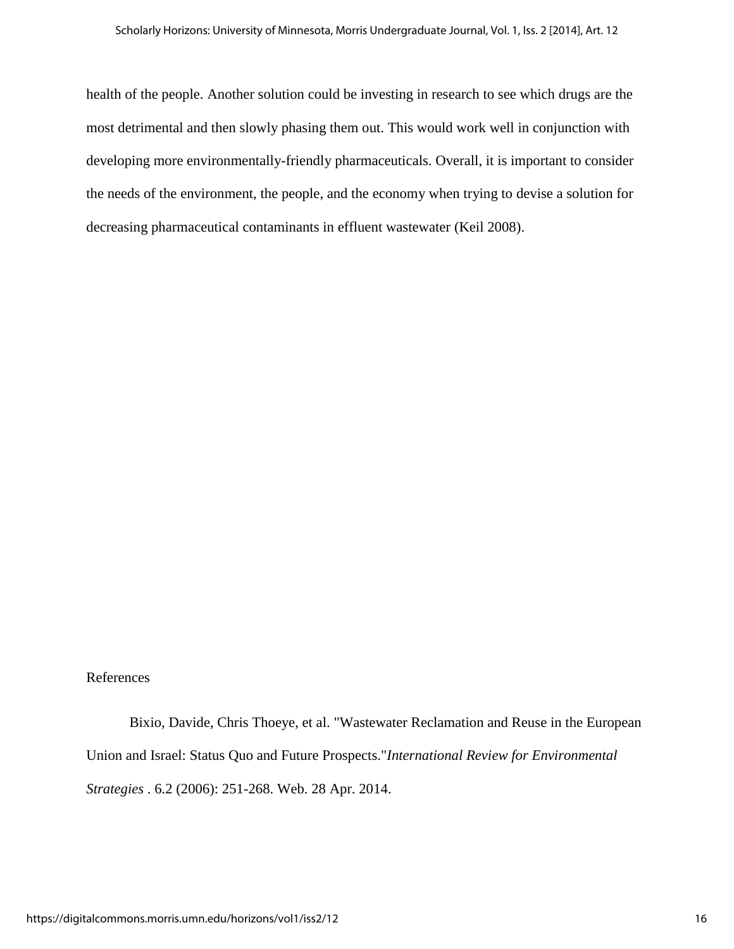health of the people. Another solution could be investing in research to see which drugs are the most detrimental and then slowly phasing them out. This would work well in conjunction with developing more environmentally-friendly pharmaceuticals. Overall, it is important to consider the needs of the environment, the people, and the economy when trying to devise a solution for decreasing pharmaceutical contaminants in effluent wastewater (Keil 2008).

### References

Bixio, Davide, Chris Thoeye, et al. "Wastewater Reclamation and Reuse in the European Union and Israel: Status Quo and Future Prospects."*International Review for Environmental Strategies* . 6.2 (2006): 251-268. Web. 28 Apr. 2014.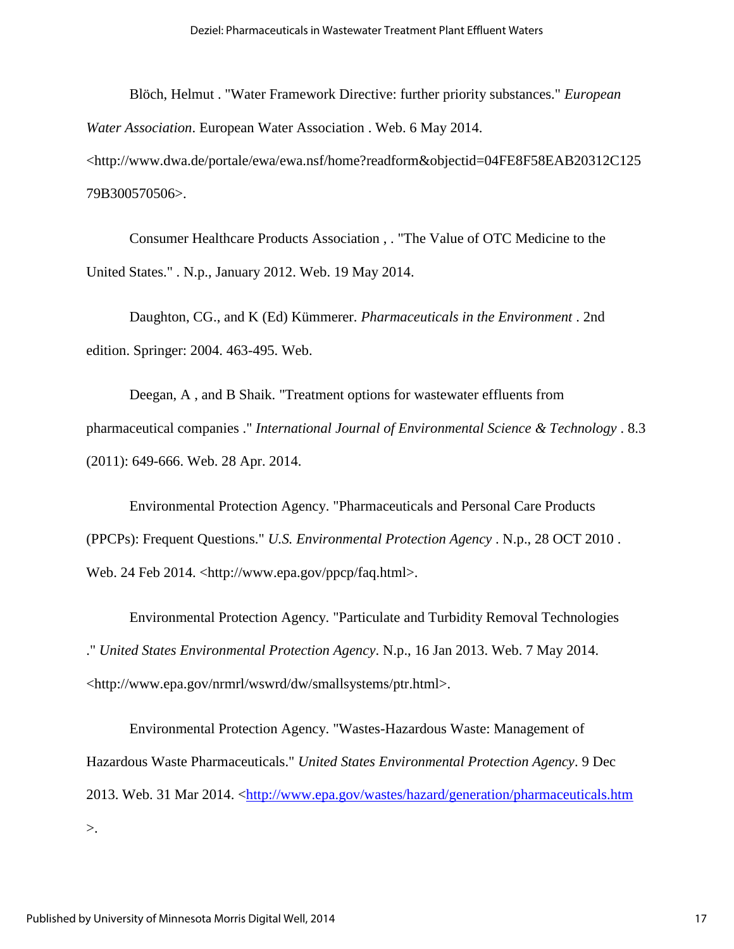Blöch, Helmut . "Water Framework Directive: further priority substances." *European Water Association*. European Water Association . Web. 6 May 2014. <http://www.dwa.de/portale/ewa/ewa.nsf/home?readform&objectid=04FE8F58EAB20312C125 79B300570506>.

Consumer Healthcare Products Association , . "The Value of OTC Medicine to the United States." . N.p., January 2012. Web. 19 May 2014.

Daughton, CG., and K (Ed) Kümmerer. *Pharmaceuticals in the Environment* . 2nd edition. Springer: 2004. 463-495. Web.

Deegan, A , and B Shaik. "Treatment options for wastewater effluents from pharmaceutical companies ." *International Journal of Environmental Science & Technology* . 8.3 (2011): 649-666. Web. 28 Apr. 2014.

Environmental Protection Agency. "Pharmaceuticals and Personal Care Products (PPCPs): Frequent Questions." *U.S. Environmental Protection Agency* . N.p., 28 OCT 2010 . Web. 24 Feb 2014. <http://www.epa.gov/ppcp/faq.html>.

Environmental Protection Agency. "Particulate and Turbidity Removal Technologies ." *United States Environmental Protection Agency*. N.p., 16 Jan 2013. Web. 7 May 2014. <http://www.epa.gov/nrmrl/wswrd/dw/smallsystems/ptr.html>.

Environmental Protection Agency. "Wastes-Hazardous Waste: Management of Hazardous Waste Pharmaceuticals." *United States Environmental Protection Agency*. 9 Dec 2013. Web. 31 Mar 2014. <http://www.epa.gov/wastes/hazard/generation/pharmaceuticals.htm >.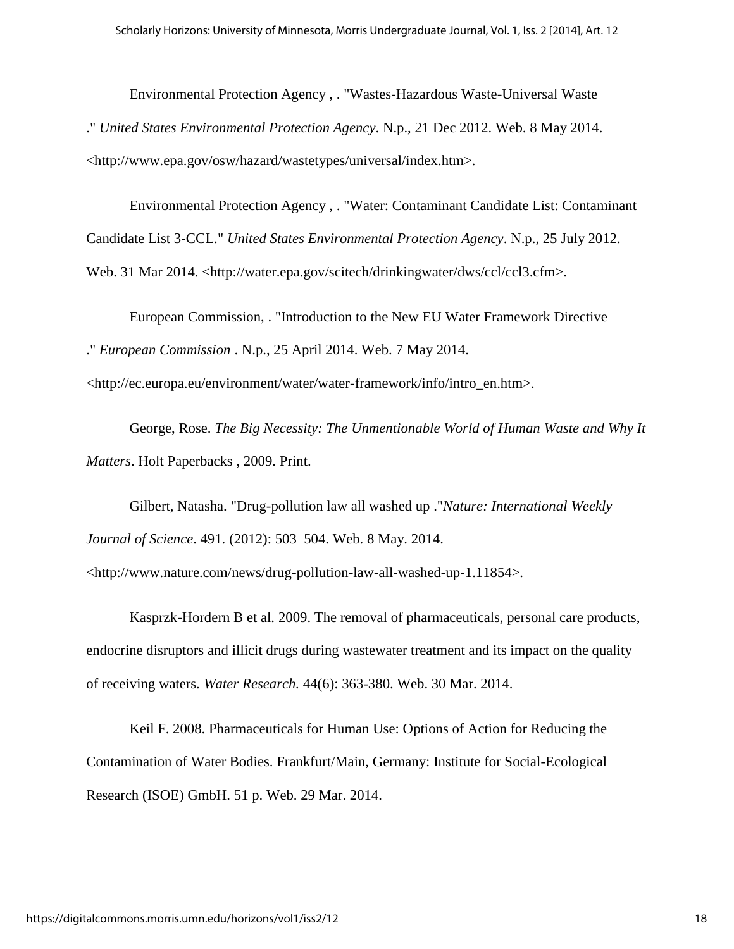Environmental Protection Agency , . "Wastes-Hazardous Waste-Universal Waste ." *United States Environmental Protection Agency*. N.p., 21 Dec 2012. Web. 8 May 2014. <http://www.epa.gov/osw/hazard/wastetypes/universal/index.htm>.

Environmental Protection Agency , . "Water: Contaminant Candidate List: Contaminant Candidate List 3-CCL." *United States Environmental Protection Agency*. N.p., 25 July 2012. Web. 31 Mar 2014. <http://water.epa.gov/scitech/drinkingwater/dws/ccl/ccl3.cfm>.

European Commission, . "Introduction to the New EU Water Framework Directive ." *European Commission* . N.p., 25 April 2014. Web. 7 May 2014.

<http://ec.europa.eu/environment/water/water-framework/info/intro\_en.htm>.

George, Rose. *The Big Necessity: The Unmentionable World of Human Waste and Why It Matters*. Holt Paperbacks , 2009. Print.

Gilbert, Natasha. "Drug-pollution law all washed up ."*Nature: International Weekly Journal of Science*. 491. (2012): 503–504. Web. 8 May. 2014.

<http://www.nature.com/news/drug-pollution-law-all-washed-up-1.11854>.

Kasprzk-Hordern B et al. 2009. The removal of pharmaceuticals, personal care products, endocrine disruptors and illicit drugs during wastewater treatment and its impact on the quality of receiving waters. *Water Research.* 44(6): 363-380. Web. 30 Mar. 2014.

Keil F. 2008. Pharmaceuticals for Human Use: Options of Action for Reducing the Contamination of Water Bodies. Frankfurt/Main, Germany: Institute for Social-Ecological Research (ISOE) GmbH. 51 p. Web. 29 Mar. 2014.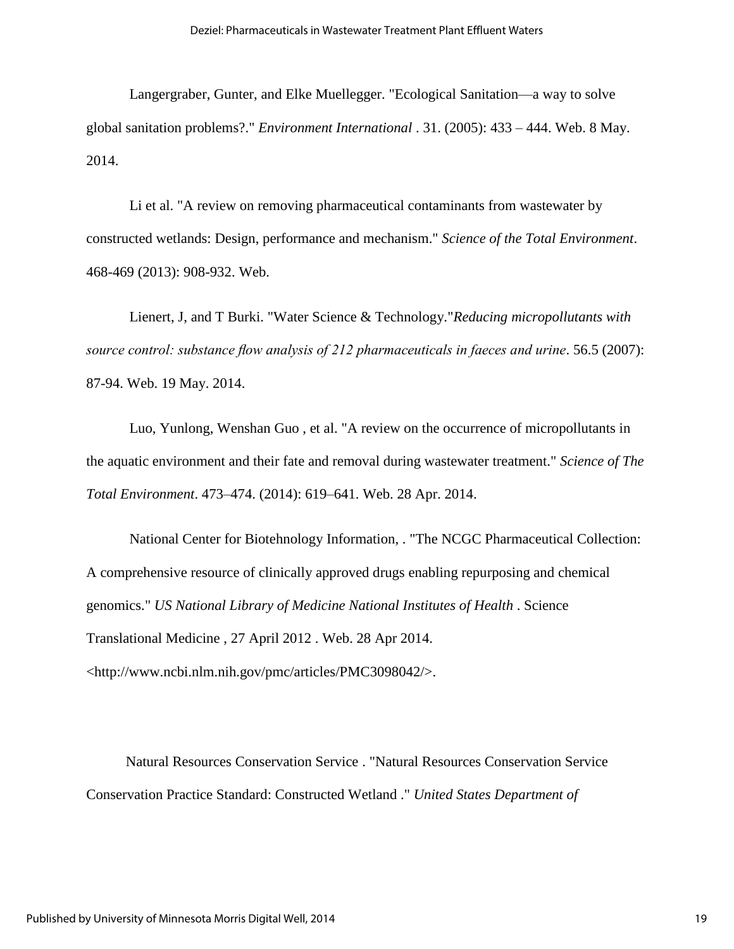Langergraber, Gunter, and Elke Muellegger. "Ecological Sanitation—a way to solve global sanitation problems?." *Environment International* . 31. (2005): 433 – 444. Web. 8 May. 2014.

Li et al. "A review on removing pharmaceutical contaminants from wastewater by constructed wetlands: Design, performance and mechanism." *Science of the Total Environment*. 468-469 (2013): 908-932. Web.

Lienert, J, and T Burki. "Water Science & Technology."*Reducing micropollutants with*  source control: substance flow analysis of 212 pharmaceuticals in faeces and urine. 56.5 (2007): 87-94. Web. 19 May. 2014.

Luo, Yunlong, Wenshan Guo , et al. "A review on the occurrence of micropollutants in the aquatic environment and their fate and removal during wastewater treatment." *Science of The Total Environment*. 473–474. (2014): 619–641. Web. 28 Apr. 2014.

National Center for Biotehnology Information, . "The NCGC Pharmaceutical Collection: A comprehensive resource of clinically approved drugs enabling repurposing and chemical genomics." *US National Library of Medicine National Institutes of Health* . Science Translational Medicine , 27 April 2012 . Web. 28 Apr 2014. <http://www.ncbi.nlm.nih.gov/pmc/articles/PMC3098042/>.

 Natural Resources Conservation Service . "Natural Resources Conservation Service Conservation Practice Standard: Constructed Wetland ." *United States Department of*